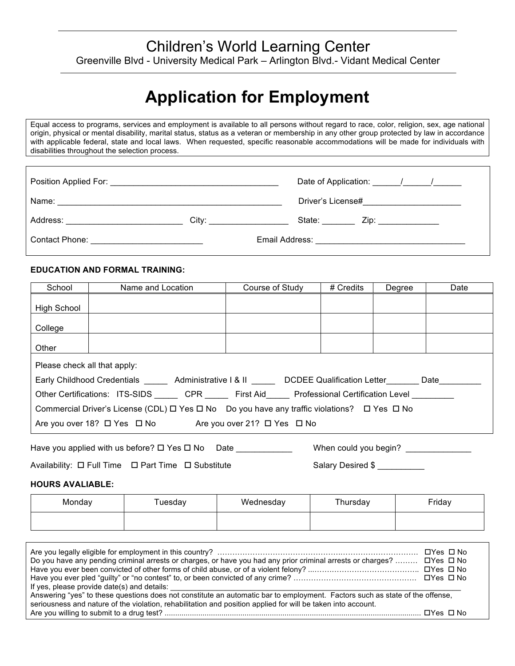# Children's World Learning Center Greenville Blvd - University Medical Park – Arlington Blvd.- Vidant Medical Center

# **Application for Employment**

Equal access to programs, services and employment is available to all persons without regard to race, color, religion, sex, age national origin, physical or mental disability, marital status, status as a veteran or membership in any other group protected by law in accordance with applicable federal, state and local laws. When requested, specific reasonable accommodations will be made for individuals with disabilities throughout the selection process.

| Name:<br><u> 1989 - Johann Stoff, amerikansk politiker (d. 1989)</u>                                                                                                                                                           |                                                                                                                                                                                                                                | Driver's License#<br><u> 1980 - Jan Barbara Barbara, manazarta da kasas da kasas da kasas da kasas da kasas da kasas da kasas da kasa</u> |  |
|--------------------------------------------------------------------------------------------------------------------------------------------------------------------------------------------------------------------------------|--------------------------------------------------------------------------------------------------------------------------------------------------------------------------------------------------------------------------------|-------------------------------------------------------------------------------------------------------------------------------------------|--|
| Address: Analysis and the state of the state of the state of the state of the state of the state of the state of the state of the state of the state of the state of the state of the state of the state of the state of the s | City: the contract of the contract of the contract of the contract of the contract of the contract of the contract of the contract of the contract of the contract of the contract of the contract of the contract of the cont | State: $\_\_$<br>Zip: _____________                                                                                                       |  |
|                                                                                                                                                                                                                                |                                                                                                                                                                                                                                |                                                                                                                                           |  |

### **EDUCATION AND FORMAL TRAINING:**

| School                       | Name and Location                                                                                               | Course of Study | # Credits             | Degree | Date |
|------------------------------|-----------------------------------------------------------------------------------------------------------------|-----------------|-----------------------|--------|------|
| High School                  |                                                                                                                 |                 |                       |        |      |
| College                      |                                                                                                                 |                 |                       |        |      |
| Other                        |                                                                                                                 |                 |                       |        |      |
| Please check all that apply: |                                                                                                                 |                 |                       |        |      |
|                              | Early Childhood Credentials _______ Administrative I & II ______ DCDEE Qualification Letter ______ Date         |                 |                       |        |      |
|                              | Other Certifications: ITS-SIDS CPR First Aid Professional Certification Level                                   |                 |                       |        |      |
|                              | Commercial Driver's License (CDL) $\Box$ Yes $\Box$ No Do you have any traffic violations? $\Box$ Yes $\Box$ No |                 |                       |        |      |
|                              | Are you over 18? $\Box$ Yes $\Box$ No Are you over 21? $\Box$ Yes $\Box$ No                                     |                 |                       |        |      |
|                              | Have you applied with us before? $\Box$ Yes $\Box$ No                                                           | Date            | When could you begin? |        |      |

Availability:  $\Box$  Full Time  $\Box$  Part Time  $\Box$  Substitute Salary Desired \$

#### **HOURS AVALIABLE:**

| Monday | Tuesday | Wednesday | Thursday | Friday |
|--------|---------|-----------|----------|--------|
|        |         |           |          |        |

| Do you have any pending criminal arrests or charges, or have you had any prior criminal arrests or charges?  □ Yes □ No                                                                                                                                                                     |  |
|---------------------------------------------------------------------------------------------------------------------------------------------------------------------------------------------------------------------------------------------------------------------------------------------|--|
| If yes, please provide date(s) and details:<br>Answering "yes" to these questions does not constitute an automatic bar to employment. Factors such as state of the offense,<br>seriousness and nature of the violation, rehabilitation and position applied for will be taken into account. |  |